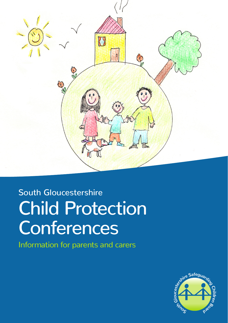

# South Gloucestershire Child Protection **Conferences**

Information for parents and carers

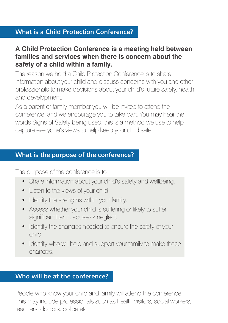# **What is a Child Protection Conference?**

## **A Child Protection Conference is a meeting held between families and services when there is concern about the safety of a child within a family.**

The reason we hold a Child Protection Conference is to share information about your child and discuss concerns with you and other professionals to make decisions about your child's future safety, health and development.

As a parent or family member you will be invited to attend the conference, and we encourage you to take part. You may hear the words Signs of Safety being used, this is a method we use to help capture everyone's views to help keep your child safe.

## **What is the purpose of the conference?**

The purpose of the conference is to:

- Share information about your child's safety and wellbeing.
- Listen to the views of your child.
- Identify the strengths within your family.
- Assess whether your child is suffering or likely to suffer significant harm, abuse or neglect.
- Identify the changes needed to ensure the safety of your child.
- Identify who will help and support your family to make these changes.

# **Who will be at the conference?**

People who know your child and family will attend the conference. This may include professionals such as health visitors, social workers, teachers, doctors, police etc.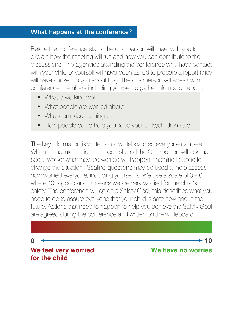## **What happens at the conference?**

Before the conference starts, the chairperson will meet with you to explain how the meeting will run and how you can contribute to the discussions. The agencies attending the conference who have contact with your child or yourself will have been asked to prepare a report (they will have spoken to you about this). The chairperson will speak with conference members including yourself to gather information about:

- What is working well
- What people are worried about
- What complicates things
- How people could help you keep your child/children safe.

The key information is written on a whiteboard so everyone can see. When all the information has been shared the Chairperson will ask the social worker what they are worried will happen if nothing is done to change the situation? Scaling questions may be used to help assess how worried everyone, including yourself is. We use a scale of 0 -10 where 10 is good and 0 means we are very worried for the child's safety. The conference will agree a Safety Goal, this describes what you need to do to assure everyone that your child is safe now and in the future. Actions that need to happen to help you achieve the Safety Goal are agreed during the conference and written on the whiteboard.